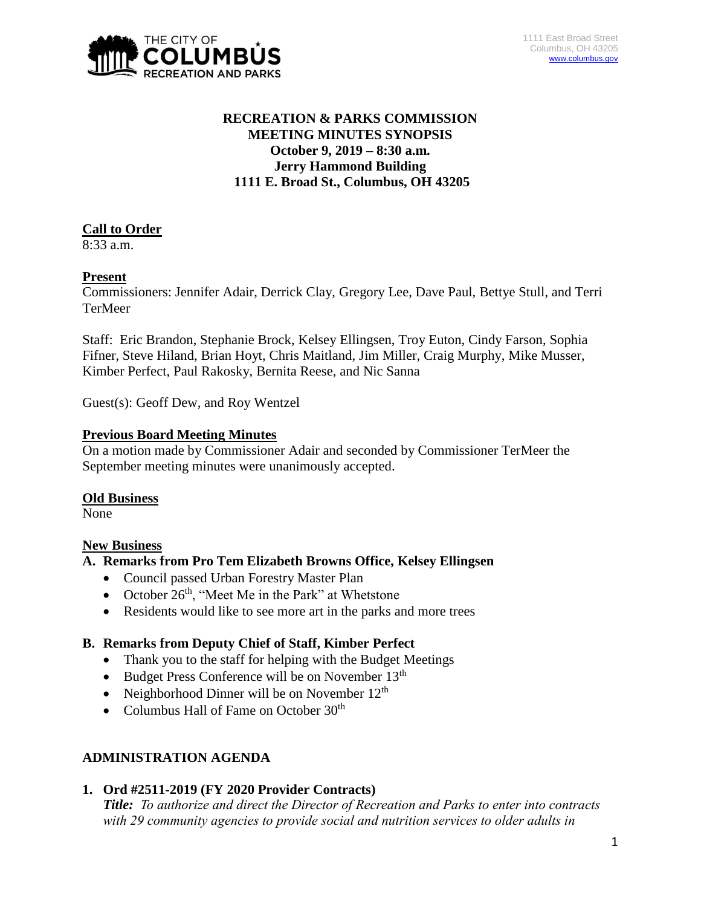

# **RECREATION & PARKS COMMISSION MEETING MINUTES SYNOPSIS October 9, 2019 – 8:30 a.m. Jerry Hammond Building 1111 E. Broad St., Columbus, OH 43205**

# **Call to Order**

8:33 a.m.

# **Present**

Commissioners: Jennifer Adair, Derrick Clay, Gregory Lee, Dave Paul, Bettye Stull, and Terri TerMeer

Staff: Eric Brandon, Stephanie Brock, Kelsey Ellingsen, Troy Euton, Cindy Farson, Sophia Fifner, Steve Hiland, Brian Hoyt, Chris Maitland, Jim Miller, Craig Murphy, Mike Musser, Kimber Perfect, Paul Rakosky, Bernita Reese, and Nic Sanna

Guest(s): Geoff Dew, and Roy Wentzel

#### **Previous Board Meeting Minutes**

On a motion made by Commissioner Adair and seconded by Commissioner TerMeer the September meeting minutes were unanimously accepted.

#### **Old Business**

None

# **New Business**

#### **A. Remarks from Pro Tem Elizabeth Browns Office, Kelsey Ellingsen**

- Council passed Urban Forestry Master Plan
- October  $26<sup>th</sup>$ , "Meet Me in the Park" at Whetstone
- Residents would like to see more art in the parks and more trees

# **B. Remarks from Deputy Chief of Staff, Kimber Perfect**

- Thank you to the staff for helping with the Budget Meetings
- $\bullet$  Budget Press Conference will be on November 13<sup>th</sup>
- Neighborhood Dinner will be on November  $12<sup>th</sup>$
- Columbus Hall of Fame on October  $30<sup>th</sup>$

# **ADMINISTRATION AGENDA**

# **1. Ord #2511-2019 (FY 2020 Provider Contracts)**

*Title: To authorize and direct the Director of Recreation and Parks to enter into contracts with 29 community agencies to provide social and nutrition services to older adults in*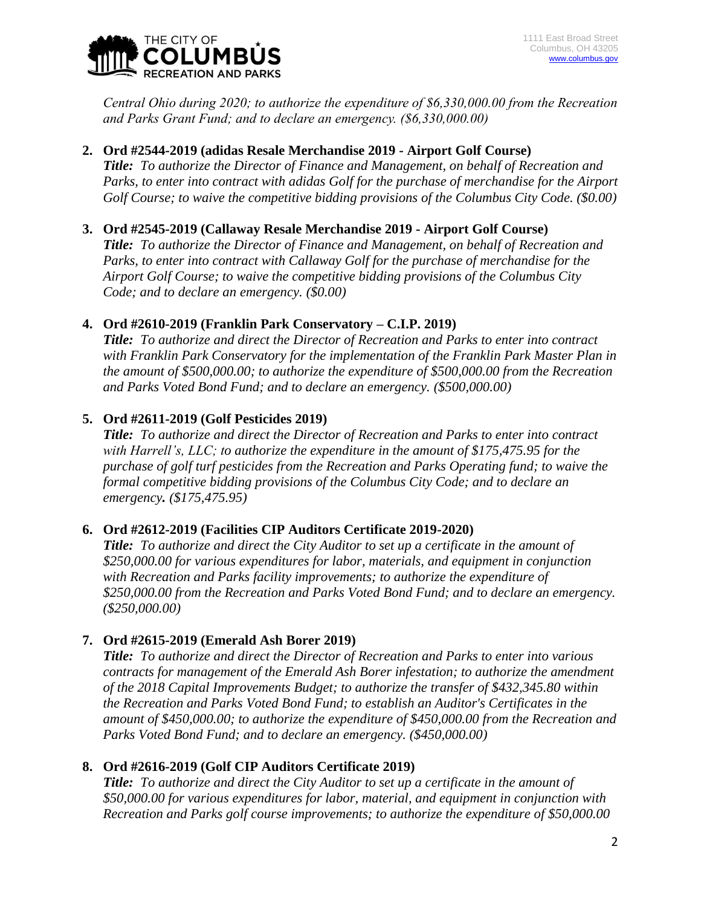

*Central Ohio during 2020; to authorize the expenditure of \$6,330,000.00 from the Recreation and Parks Grant Fund; and to declare an emergency. (\$6,330,000.00)*

## **2. Ord #2544-2019 (adidas Resale Merchandise 2019 - Airport Golf Course)**

*Title: To authorize the Director of Finance and Management, on behalf of Recreation and Parks, to enter into contract with adidas Golf for the purchase of merchandise for the Airport Golf Course; to waive the competitive bidding provisions of the Columbus City Code. (\$0.00)*

#### **3. Ord #2545-2019 (Callaway Resale Merchandise 2019 - Airport Golf Course)**

*Title: To authorize the Director of Finance and Management, on behalf of Recreation and Parks, to enter into contract with Callaway Golf for the purchase of merchandise for the Airport Golf Course; to waive the competitive bidding provisions of the Columbus City Code; and to declare an emergency. (\$0.00)*

## **4. Ord #2610-2019 (Franklin Park Conservatory – C.I.P. 2019)**

*Title: To authorize and direct the Director of Recreation and Parks to enter into contract with Franklin Park Conservatory for the implementation of the Franklin Park Master Plan in the amount of \$500,000.00; to authorize the expenditure of \$500,000.00 from the Recreation and Parks Voted Bond Fund; and to declare an emergency. (\$500,000.00)*

## **5. Ord #2611-2019 (Golf Pesticides 2019)**

*Title: To authorize and direct the Director of Recreation and Parks to enter into contract with Harrell's, LLC; to authorize the expenditure in the amount of \$175,475.95 for the purchase of golf turf pesticides from the Recreation and Parks Operating fund; to waive the formal competitive bidding provisions of the Columbus City Code; and to declare an emergency. (\$175,475.95)*

#### **6. Ord #2612-2019 (Facilities CIP Auditors Certificate 2019-2020)**

*Title: To authorize and direct the City Auditor to set up a certificate in the amount of \$250,000.00 for various expenditures for labor, materials, and equipment in conjunction with Recreation and Parks facility improvements; to authorize the expenditure of \$250,000.00 from the Recreation and Parks Voted Bond Fund; and to declare an emergency. (\$250,000.00)*

#### **7. Ord #2615-2019 (Emerald Ash Borer 2019)**

*Title: To authorize and direct the Director of Recreation and Parks to enter into various contracts for management of the Emerald Ash Borer infestation; to authorize the amendment of the 2018 Capital Improvements Budget; to authorize the transfer of \$432,345.80 within the Recreation and Parks Voted Bond Fund; to establish an Auditor's Certificates in the amount of \$450,000.00; to authorize the expenditure of \$450,000.00 from the Recreation and Parks Voted Bond Fund; and to declare an emergency. (\$450,000.00)*

# **8. Ord #2616-2019 (Golf CIP Auditors Certificate 2019)**

*Title: To authorize and direct the City Auditor to set up a certificate in the amount of \$50,000.00 for various expenditures for labor, material, and equipment in conjunction with Recreation and Parks golf course improvements; to authorize the expenditure of \$50,000.00*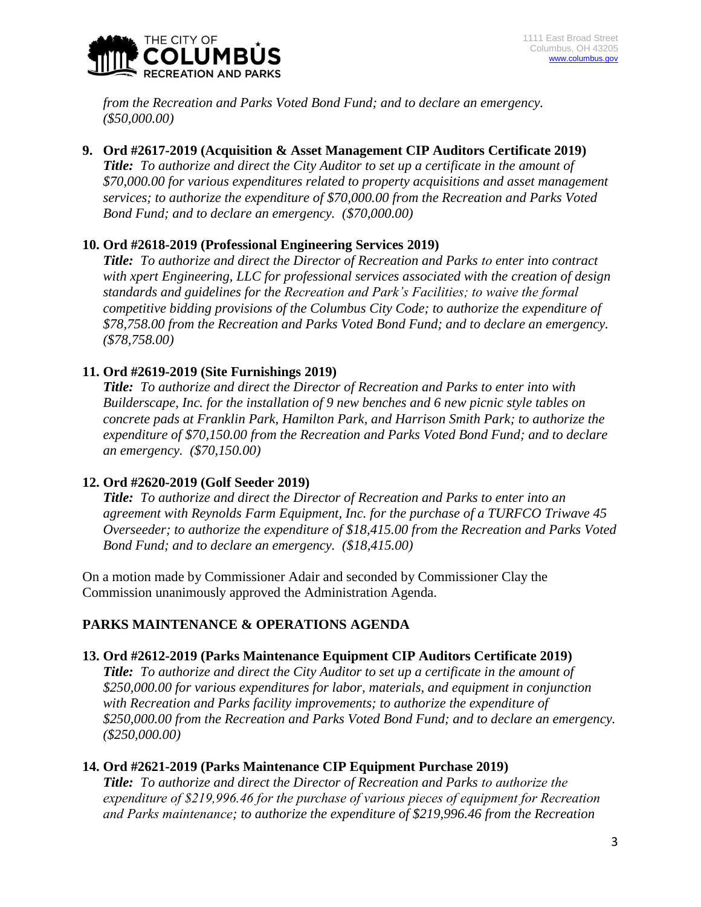

*from the Recreation and Parks Voted Bond Fund; and to declare an emergency. (\$50,000.00)*

**9. Ord #2617-2019 (Acquisition & Asset Management CIP Auditors Certificate 2019)** *Title: To authorize and direct the City Auditor to set up a certificate in the amount of* 

*\$70,000.00 for various expenditures related to property acquisitions and asset management services; to authorize the expenditure of \$70,000.00 from the Recreation and Parks Voted Bond Fund; and to declare an emergency. (\$70,000.00)*

## **10. Ord #2618-2019 (Professional Engineering Services 2019)**

*Title: To authorize and direct the Director of Recreation and Parks to enter into contract with xpert Engineering, LLC for professional services associated with the creation of design standards and guidelines for the Recreation and Park's Facilities; to waive the formal competitive bidding provisions of the Columbus City Code; to authorize the expenditure of \$78,758.00 from the Recreation and Parks Voted Bond Fund; and to declare an emergency. (\$78,758.00)*

## **11. Ord #2619-2019 (Site Furnishings 2019)**

*Title: To authorize and direct the Director of Recreation and Parks to enter into with Builderscape, Inc. for the installation of 9 new benches and 6 new picnic style tables on concrete pads at Franklin Park, Hamilton Park, and Harrison Smith Park; to authorize the expenditure of \$70,150.00 from the Recreation and Parks Voted Bond Fund; and to declare an emergency. (\$70,150.00)*

# **12. Ord #2620-2019 (Golf Seeder 2019)**

*Title: To authorize and direct the Director of Recreation and Parks to enter into an agreement with Reynolds Farm Equipment, Inc. for the purchase of a TURFCO Triwave 45 Overseeder; to authorize the expenditure of \$18,415.00 from the Recreation and Parks Voted Bond Fund; and to declare an emergency. (\$18,415.00)*

On a motion made by Commissioner Adair and seconded by Commissioner Clay the Commission unanimously approved the Administration Agenda.

# **PARKS MAINTENANCE & OPERATIONS AGENDA**

#### **13. Ord #2612-2019 (Parks Maintenance Equipment CIP Auditors Certificate 2019)**

*Title: To authorize and direct the City Auditor to set up a certificate in the amount of \$250,000.00 for various expenditures for labor, materials, and equipment in conjunction with Recreation and Parks facility improvements; to authorize the expenditure of \$250,000.00 from the Recreation and Parks Voted Bond Fund; and to declare an emergency. (\$250,000.00)*

#### **14. Ord #2621-2019 (Parks Maintenance CIP Equipment Purchase 2019)**

*Title: To authorize and direct the Director of Recreation and Parks to authorize the expenditure of \$219,996.46 for the purchase of various pieces of equipment for Recreation and Parks maintenance; to authorize the expenditure of \$219,996.46 from the Recreation*